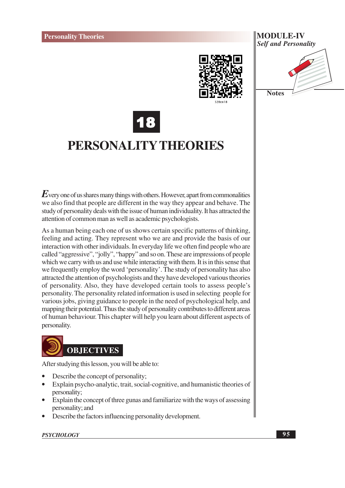

# **MODULE-IV Self and Personality**

**Notes** 



# PERSONALITY THEORIES

 $E$  very one of us shares many things with others. However, apart from commonalities we also find that people are different in the way they appear and behave. The study of personality deals with the issue of human individuality. It has attracted the attention of common man as well as academic psychologists.

As a human being each one of us shows certain specific patterns of thinking, feeling and acting. They represent who we are and provide the basis of our interaction with other individuals. In everyday life we often find people who are called "aggressive", "jolly", "happy" and so on. These are impressions of people which we carry with us and use while interacting with them. It is in this sense that we frequently employ the word 'personality'. The study of personality has also attracted the attention of psychologists and they have developed various theories of personality. Also, they have developed certain tools to assess people's personality. The personality related information is used in selecting people for various jobs, giving guidance to people in the need of psychological help, and mapping their potential. Thus the study of personality contributes to different areas of human behaviour. This chapter will help you learn about different aspects of personality.



After studying this lesson, you will be able to:

- Describe the concept of personality;
- Explain psycho-analytic, trait, social-cognitive, and humanistic theories of personality;
- Explain the concept of three gunas and familiarize with the ways of assessing personality; and
- Describe the factors influencing personality development.

#### **PSYCHOLOGY**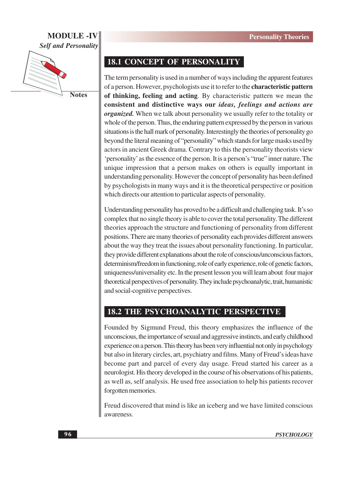#### **MODULE -IV Self and Personality**



**Notes** 

#### **18.1 CONCEPT OF PERSONALITY**

The term personality is used in a number of ways including the apparent features of a person. However, psychologists use it to refer to the characteristic pattern of thinking, feeling and acting. By characteristic pattern we mean the consistent and distinctive ways our *ideas*, *feelings and actions are organized*. When we talk about personality we usually refer to the totality or whole of the person. Thus, the enduring pattern expressed by the person in various situations is the hall mark of personality. Interestingly the theories of personality go beyond the literal meaning of "personality" which stands for large masks used by actors in ancient Greek drama. Contrary to this the personality theorists view 'personality' as the essence of the person. It is a person's "true" inner nature. The unique impression that a person makes on others is equally important in understanding personality. However the concept of personality has been defined by psychologists in many ways and it is the theoretical perspective or position which directs our attention to particular aspects of personality.

Understanding personality has proved to be a difficult and challenging task. It's so complex that no single theory is able to cover the total personality. The different theories approach the structure and functioning of personality from different positions. There are many theories of personality each provides different answers about the way they treat the issues about personality functioning. In particular, they provide different explanations about the role of conscious/unconscious factors, determinism/freedom in functioning, role of early experience, role of genetic factors, uniqueness/universality etc. In the present lesson you will learn about four major theoretical perspectives of personality. They include psychoanalytic, trait, humanistic and social-cognitive perspectives.

#### **18.2 THE PSYCHOANALYTIC PERSPECTIVE**

Founded by Sigmund Freud, this theory emphasizes the influence of the unconscious, the importance of sexual and aggressive instincts, and early childhood experience on a person. This theory has been very influential not only in psychology but also in literary circles, art, psychiatry and films. Many of Freud's ideas have become part and parcel of every day usage. Freud started his career as a neurologist. His theory developed in the course of his observations of his patients, as well as, self analysis. He used free association to help his patients recover forgotten memories.

Freud discovered that mind is like an iceberg and we have limited conscious awareness.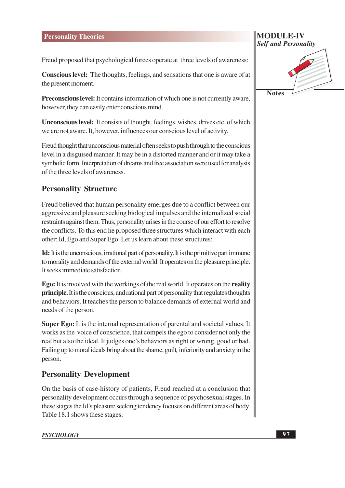Freud proposed that psychological forces operate at three levels of awareness:

**Conscious level:** The thoughts, feelings, and sensations that one is aware of at the present moment.

**Preconscious level:** It contains information of which one is not currently aware, however, they can easily enter conscious mind.

**Unconscious level:** It consists of thought, feelings, wishes, drives etc. of which we are not aware. It, however, influences our conscious level of activity.

Freud thought that unconscious material often seeks to push through to the conscious level in a disguised manner. It may be in a distorted manner and or it may take a symbolic form. Interpretation of dreams and free association were used for analysis of the three levels of awareness.

## **Personality Structure**

Freud believed that human personality emerges due to a conflict between our aggressive and pleasure seeking biological impulses and the internalized social restraints against them. Thus, personality arises in the course of our effort to resolve the conflicts. To this end he proposed three structures which interact with each other: Id, Ego and Super Ego. Let us learn about these structures:

Id: It is the unconscious, irrational part of personality. It is the primitive part immune to morality and demands of the external world. It operates on the pleasure principle. It seeks immediate satisfaction.

**Ego:** It is involved with the workings of the real world. It operates on the **reality principle.** It is the conscious, and rational part of personality that regulates thoughts and behaviors. It teaches the person to balance demands of external world and needs of the person.

**Super Ego:** It is the internal representation of parental and societal values. It works as the voice of conscience, that compels the ego to consider not only the real but also the ideal. It judges one's behaviors as right or wrong, good or bad. Failing up to moral ideals bring about the shame, guilt, inferiority and anxiety in the person.

#### **Personality Development**

On the basis of case-history of patients, Freud reached at a conclusion that personality development occurs through a sequence of psychosexual stages. In these stages the Id's pleasure seeking tendency focuses on different areas of body. Table 18.1 shows these stages.

MODULE-IV **Self and Personality** 

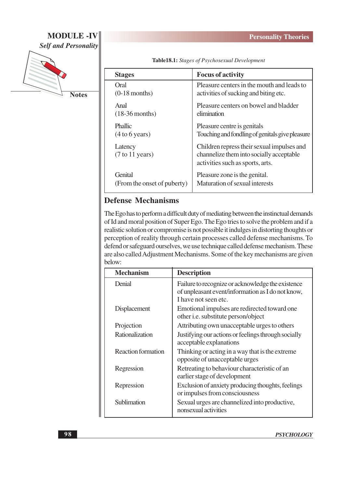**Personality Theories** 

### **MODULE -IV Self and Personality**



**Notes** 

Table18.1: Stages of Psychosexual Development

| <b>Stages</b>                                 | <b>Focus of activity</b>                                                                                                   |
|-----------------------------------------------|----------------------------------------------------------------------------------------------------------------------------|
| Oral                                          | Pleasure centers in the mouth and leads to                                                                                 |
| $(0-18$ months)                               | activities of sucking and biting etc.                                                                                      |
| Anal                                          | Pleasure centers on bowel and bladder                                                                                      |
| $(18-36$ months)                              | elimination                                                                                                                |
| <b>Phallic</b>                                | Pleasure centre is genitals                                                                                                |
| (4 to 6 years)                                | Touching and fondling of genitals give pleasure                                                                            |
| Latency<br>$(7 \text{ to } 11 \text{ years})$ | Children repress their sexual impulses and<br>channelize them into socially acceptable<br>activities such as sports, arts. |
| Genital                                       | Pleasure zone is the genital.                                                                                              |
| (From the onset of puberty)                   | Maturation of sexual interests                                                                                             |

#### **Defense Mechanisms**

The Ego has to perform a difficult duty of mediating between the instinctual demands of Id and moral position of Super Ego. The Ego tries to solve the problem and if a realistic solution or compromise is not possible it indulges in distorting thoughts or perception of reality through certain processes called defense mechanisms. To defend or safeguard ourselves, we use technique called defense mechanism. These are also called Adjustment Mechanisms. Some of the key mechanisms are given below:

| <b>Mechanism</b>          | <b>Description</b>                                                                                                             |
|---------------------------|--------------------------------------------------------------------------------------------------------------------------------|
| Denial                    | Failure to recognize or acknowledge the existence<br>of unpleasant event/information as I do not know,<br>I have not seen etc. |
| Displacement              | Emotional impulses are redirected toward one<br>other i.e. substitute person/object                                            |
| Projection                | Attributing own unacceptable urges to others                                                                                   |
| Rationalization           | Justifying our actions or feelings through socially<br>acceptable explanations                                                 |
| <b>Reaction formation</b> | Thinking or acting in a way that is the extreme.<br>opposite of unacceptable urges                                             |
| Regression                | Retreating to behaviour characteristic of an<br>earlier stage of development                                                   |
| Repression                | Exclusion of anxiety producing thoughts, feelings<br>or impulses from consciousness                                            |
| Sublimation               | Sexual urges are channelized into productive,<br>nonsexual activities                                                          |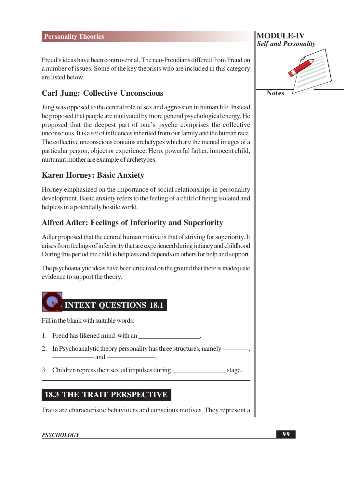Freud's ideas have been controversial. The neo-Freudians differed from Freud on a number of issues. Some of the key theorists who are included in this category are listed below

### **Carl Jung: Collective Unconscious**

Jung was opposed to the central role of sex and aggression in human life. Instead he proposed that people are motivated by more general psychological energy. He proposed that the deepest part of one's psyche comprises the collective unconscious. It is a set of influences inherited from our family and the human race. The collective unconscious contains archetypes which are the mental images of a particular person, object or experience. Hero, powerful father, innocent child, nurturant mother are example of archetypes.

#### **Karen Horney: Basic Anxiety**

Horney emphasized on the importance of social relationships in personality development. Basic anxiety refers to the feeling of a child of being isolated and helpless in a potentially hostile world.

#### **Alfred Adler: Feelings of Inferiority and Superiority**

Adler proposed that the central human motive is that of striving for superiority. It arises from feelings of inferiority that are experienced during infancy and childhood During this period the child is helpless and depends on others for help and support.

The psychoanalytic ideas have been criticized on the ground that there is inadequate evidence to support the theory.



Fill in the blank with suitable words:

- 1. Freud has like ned mind with an
- 2. In Psychoanalytic theory personality has three structures, namely- $\rightharpoonup$  and  $\rightharpoonup$
- 3. Children repress their sexual impulses during stage.

#### **18.3 THE TRAIT PERSPECTIVE**

Traits are characteristic behaviours and conscious motives. They represent a

#### **PSYCHOLOGY**

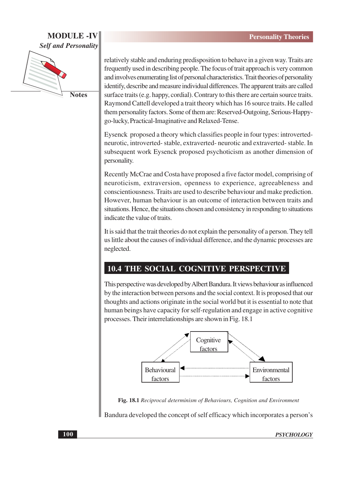#### **MODULE-IV Self and Personality**



relatively stable and enduring predisposition to behave in a given way. Traits are frequently used in describing people. The focus of trait approach is very common and involves enumerating list of personal characteristics. Trait theories of personality identify, describe and measure individual differences. The apparent traits are called surface traits (e.g. happy, cordial). Contrary to this there are certain source traits. Raymond Cattell developed a trait theory which has 16 source traits. He called them personality factors. Some of them are: Reserved-Outgoing, Serious-Happygo-lucky, Practical-Imaginative and Relaxed-Tense.

Eysenck proposed a theory which classifies people in four types: introvertedneurotic, introverted-stable, extraverted-neurotic and extraverted-stable. In subsequent work Eysenck proposed psychoticism as another dimension of personality.

Recently McCrae and Costa have proposed a five factor model, comprising of neuroticism, extraversion, openness to experience, agreeableness and conscientiousness. Traits are used to describe behaviour and make prediction. However, human behaviour is an outcome of interaction between traits and situations. Hence, the situations chosen and consistency in responding to situations indicate the value of traits.

It is said that the trait theories do not explain the personality of a person. They tell us little about the causes of individual difference, and the dynamic processes are neglected.

## **10.4 THE SOCIAL COGNITIVE PERSPECTIVE**

This perspective was developed by Albert Bandura. It views behaviour as influenced by the interaction between persons and the social context. It is proposed that our thoughts and actions originate in the social world but it is essential to note that human beings have capacity for self-regulation and engage in active cognitive processes. Their interrelationships are shown in Fig. 18.1



Fig. 18.1 Reciprocal determinism of Behaviours, Cognition and Environment

Bandura developed the concept of self efficacy which incorporates a person's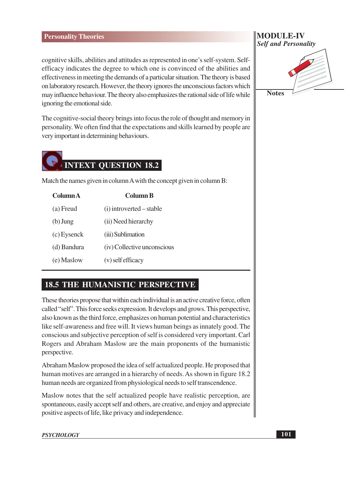#### **Personality Theories**

cognitive skills, abilities and attitudes as represented in one's self-system. Selfefficacy indicates the degree to which one is convinced of the abilities and effectiveness in meeting the demands of a particular situation. The theory is based on laboratory research. However, the theory ignores the unconscious factors which may influence behaviour. The theory also emphasizes the rational side of life while ignoring the emotional side.

The cognitive-social theory brings into focus the role of thought and memory in personality. We often find that the expectations and skills learned by people are very important in determining behaviours.



Match the names given in column A with the concept given in column B:

| Column A    | <b>Column B</b>             |
|-------------|-----------------------------|
| (a) Freud   | (i) introverted – stable    |
| $(b)$ Jung  | (ii) Need hierarchy         |
| (c) Eysenck | (iii) Sublimation           |
| (d) Bandura | (iv) Collective unconscious |
| (e) Maslow  | $(v)$ self efficacy         |
|             |                             |

#### **18.5 THE HUMANISTIC PERSPECTIVE**

These theories propose that within each individual is an active creative force, often called "self". This force seeks expression. It develops and grows. This perspective, also known as the third force, emphasizes on human potential and characteristics like self-awareness and free will. It views human beings as innately good. The conscious and subjective perception of self is considered very important. Carl Rogers and Abraham Maslow are the main proponents of the humanistic perspective.

Abraham Maslow proposed the idea of self actualized people. He proposed that human motives are arranged in a hierarchy of needs. As shown in figure 18.2 human needs are organized from physiological needs to self transcendence.

Maslow notes that the self actualized people have realistic perception, are spontaneous, easily accept self and others, are creative, and enjoy and appreciate positive aspects of life, like privacy and independence.

#### **MODULE-IV Self and Personality**

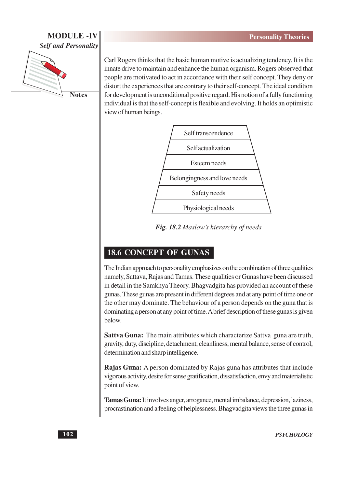#### **MODULE -IV Self and Personality**



Carl Rogers thinks that the basic human motive is actualizing tendency. It is the innate drive to maintain and enhance the human organism. Rogers observed that people are motivated to act in accordance with their self concept. They deny or distort the experiences that are contrary to their self-concept. The ideal condition for development is unconditional positive regard. His notion of a fully functioning individual is that the self-concept is flexible and evolving. It holds an optimistic view of human beings.



Fig. 18.2 Maslow's hierarchy of needs

# **18.6 CONCEPT OF GUNAS**

The Indian approach to personality emphasizes on the combination of three qualities namely, Sattava, Rajas and Tamas. These qualities or Gunas have been discussed in detail in the Samkhya Theory. Bhagyadgita has provided an account of these gunas. These gunas are present in different degrees and at any point of time one or the other may dominate. The behaviour of a person depends on the guna that is dominating a person at any point of time. A brief description of these gunas is given below.

Sattva Guna: The main attributes which characterize Sattva guna are truth, gravity, duty, discipline, detachment, cleanliness, mental balance, sense of control, determination and sharp intelligence.

**Rajas Guna:** A person dominated by Rajas guna has attributes that include vigorous activity, desire for sense gratification, dissatisfaction, envy and materialistic point of view.

**Tamas Guna:** It involves anger, arrogance, mental imbalance, depression, laziness, procrastination and a feeling of helplessness. Bhagyadgita views the three gunas in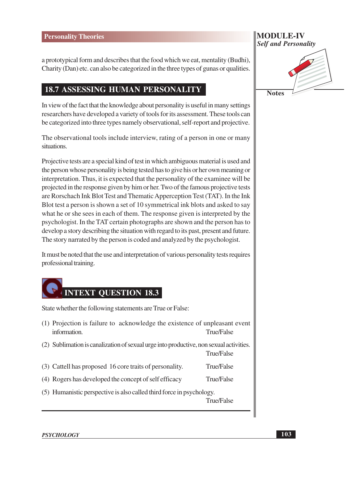a prototypical form and describes that the food which we eat, mentality (Budhi), Charity (Dan) etc. can also be categorized in the three types of gunas or qualities.

#### **18.7 ASSESSING HUMAN PERSONALITY**

In view of the fact that the knowledge about personality is useful in many settings researchers have developed a variety of tools for its assessment. These tools can be categorized into three types namely observational, self-report and projective.

The observational tools include interview, rating of a person in one or many situations.

Projective tests are a special kind of test in which ambiguous material is used and the person whose personality is being tested has to give his or her own meaning or interpretation. Thus, it is expected that the personality of the examinee will be projected in the response given by him or her. Two of the famous projective tests are Rorschach Ink Blot Test and Thematic Apperception Test (TAT). In the Ink Blot test a person is shown a set of 10 symmetrical ink blots and asked to say what he or she sees in each of them. The response given is interpreted by the psychologist. In the TAT certain photographs are shown and the person has to develop a story describing the situation with regard to its past, present and future. The story narrated by the person is coded and analyzed by the psychologist.

It must be noted that the use and interpretation of various personality tests requires professional training.



State whether the following statements are True or False:

- (1) Projection is failure to acknowledge the existence of unpleasant event information. **True/False**
- (2) Sublimation is canalization of sexual urge into productive, non sexual activities. **True/False**
- (3) Cattell has proposed 16 core traits of personality. True/False
- (4) Rogers has developed the concept of self efficacy True/False
- (5) Humanistic perspective is also called third force in psychology.

**True/False** 

# MODULE-IV **Self and Personality Notes**

**PSYCHOLOGY**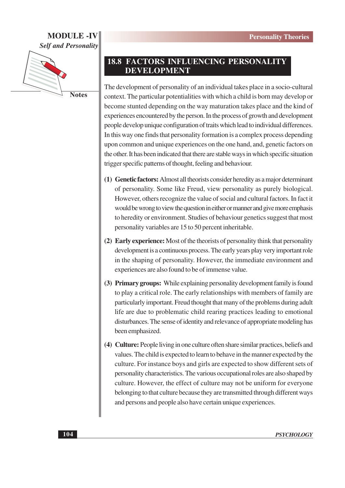#### **MODULE-IV Self and Personality**



**Notes** 

### **18.8 FACTORS INFLUENCING PERSONALITY DEVELOPMENT**

The development of personality of an individual takes place in a socio-cultural context. The particular potentialities with which a child is born may develop or become stunted depending on the way maturation takes place and the kind of experiences encountered by the person. In the process of growth and development people develop unique configuration of traits which lead to individual differences. In this way one finds that personality formation is a complex process depending upon common and unique experiences on the one hand, and, genetic factors on the other. It has been indicated that there are stable ways in which specific situation trigger specific patterns of thought, feeling and behaviour.

- (1) Genetic factors: Almost all theorists consider heredity as a major determinant of personality. Some like Freud, view personality as purely biological. However, others recognize the value of social and cultural factors. In fact it would be wrong to view the question in either or manner and give more emphasis to heredity or environment. Studies of behaviour genetics suggest that most personality variables are 15 to 50 percent inheritable.
- (2) Early experience: Most of the theorists of personality think that personality development is a continuous process. The early years play very important role in the shaping of personality. However, the immediate environment and experiences are also found to be of immense value.
- (3) Primary groups: While explaining personality development family is found to play a critical role. The early relationships with members of family are particularly important. Freud thought that many of the problems during adult life are due to problematic child rearing practices leading to emotional disturbances. The sense of identity and relevance of appropriate modeling has been emphasized.
- (4) Culture: People living in one culture often share similar practices, beliefs and values. The child is expected to learn to behave in the manner expected by the culture. For instance boys and girls are expected to show different sets of personality characteristics. The various occupational roles are also shaped by culture. However, the effect of culture may not be uniform for everyone belonging to that culture because they are transmitted through different ways and persons and people also have certain unique experiences.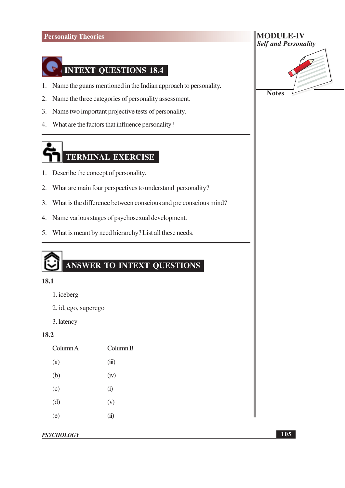

- 1. Name the guans mentioned in the Indian approach to personality.
- Name the three categories of personality assessment.  $2.$
- 3. Name two important projective tests of personality.
- 4. What are the factors that influence personality?

# TERMINAL EXERCISE

- 1. Describe the concept of personality.
- 2. What are main four perspectives to understand personality?
- 3. What is the difference between conscious and pre conscious mind?
- 4. Name various stages of psychosexual development.
- 5. What is meant by need hierarchy? List all these needs.

# ANSWER TO INTEXT QUESTIONS

#### 18.1

- 1. iceberg
- 2. id, ego, superego
- 3. latency

#### 18.2

| Column A | Column B |
|----------|----------|
| (a)      | (iii)    |
| (b)      | (iv)     |
| (c)      | (i)      |
| (d)      | (v)      |
| (e)      | (ii)     |
|          |          |





**Notes**